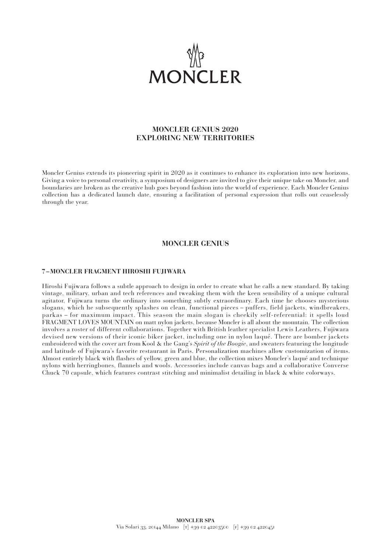

# **MONCLER GENIUS 2020 EXPLORING NEW TERRITORIES**

Moncler Genius extends its pioneering spirit in 2020 as it continues to enhance its exploration into new horizons. Giving a voice to personal creativity, a symposium of designers are invited to give their unique take on Moncler, and boundaries are broken as the creative hub goes beyond fashion into the world of experience. Each Moncler Genius collection has a dedicated launch date, ensuring a facilitation of personal expression that rolls out ceaselessly through the year.

# **MONCLER GENIUS**

#### **7 –MONCLER FRAGMENT HIROSHI FUJIWARA**

Hiroshi Fujiwara follows a subtle approach to design in order to create what he calls a new standard. By taking vintage, military, urban and tech references and tweaking them with the keen sensibility of a unique cultural agitator, Fujiwara turns the ordinary into something subtly extraordinary. Each time he chooses mysterious slogans, which he subsequently splashes on clean, functional pieces – puffers, field jackets, windbreakers, parkas – for maximum impact. This season the main slogan is cheekily self-referential: it spells loud FRAGMENT LOVES MOUNTAIN on matt nylon jackets, because Moncler is all about the mountain. The collection involves a roster of different collaborations. Together with British leather specialist Lewis Leathers, Fujiwara devised new versions of their iconic biker jacket, including one in nylon laqué. There are bomber jackets embroidered with the cover art from Kool & the Gang's *Spirit of the Boogie*, and sweaters featuring the longitude and latitude of Fujiwara's favorite restaurant in Paris. Personalization machines allow customization of items. Almost entirely black with flashes of yellow, green and blue, the collection mixes Moncler's laqué and technique nylons with herringbones, flannels and wools. Accessories include canvas bags and a collaborative Converse Chuck 70 capsule, which features contrast stitching and minimalist detailing in black & white colorways.